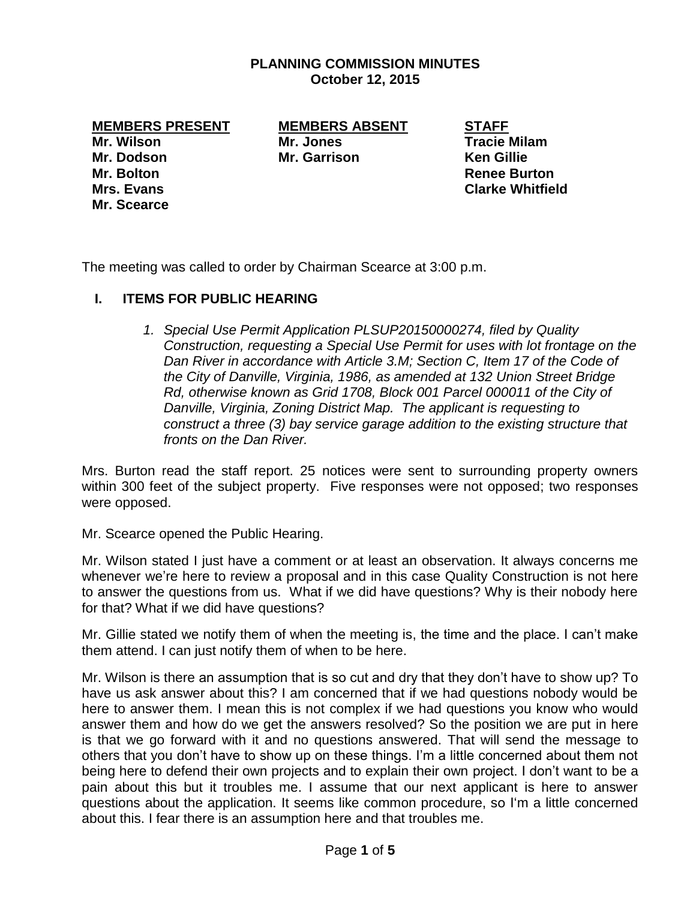### **PLANNING COMMISSION MINUTES October 12, 2015**

**MEMBERS PRESENT MEMBERS ABSENT STAFF**

**Mr. Wilson Mr. Jones Tracie Milam Mr. Dodson Mr. Garrison Ken Gillie Mr. Bolton Renee Burton Mr. Scearce**

**Mrs. Evans Clarke Whitfield**

The meeting was called to order by Chairman Scearce at 3:00 p.m.

# **I. ITEMS FOR PUBLIC HEARING**

*1. Special Use Permit Application PLSUP20150000274, filed by Quality Construction, requesting a Special Use Permit for uses with lot frontage on the Dan River in accordance with Article 3.M; Section C, Item 17 of the Code of the City of Danville, Virginia, 1986, as amended at 132 Union Street Bridge Rd, otherwise known as Grid 1708, Block 001 Parcel 000011 of the City of Danville, Virginia, Zoning District Map. The applicant is requesting to construct a three (3) bay service garage addition to the existing structure that fronts on the Dan River.*

Mrs. Burton read the staff report. 25 notices were sent to surrounding property owners within 300 feet of the subject property. Five responses were not opposed; two responses were opposed.

Mr. Scearce opened the Public Hearing.

Mr. Wilson stated I just have a comment or at least an observation. It always concerns me whenever we're here to review a proposal and in this case Quality Construction is not here to answer the questions from us. What if we did have questions? Why is their nobody here for that? What if we did have questions?

Mr. Gillie stated we notify them of when the meeting is, the time and the place. I can't make them attend. I can just notify them of when to be here.

Mr. Wilson is there an assumption that is so cut and dry that they don't have to show up? To have us ask answer about this? I am concerned that if we had questions nobody would be here to answer them. I mean this is not complex if we had questions you know who would answer them and how do we get the answers resolved? So the position we are put in here is that we go forward with it and no questions answered. That will send the message to others that you don't have to show up on these things. I'm a little concerned about them not being here to defend their own projects and to explain their own project. I don't want to be a pain about this but it troubles me. I assume that our next applicant is here to answer questions about the application. It seems like common procedure, so I'm a little concerned about this. I fear there is an assumption here and that troubles me.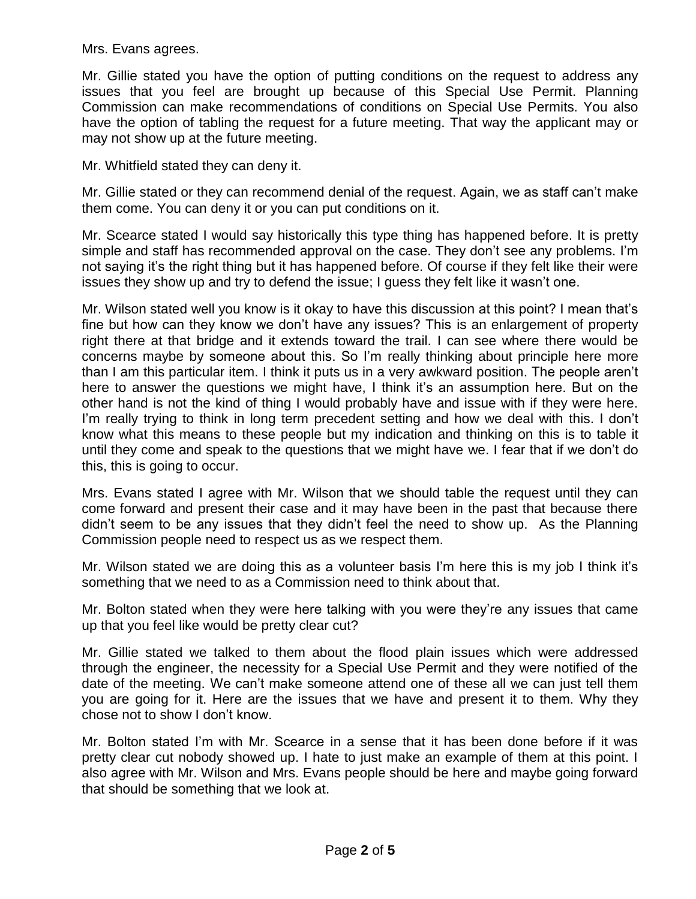Mrs. Evans agrees.

Mr. Gillie stated you have the option of putting conditions on the request to address any issues that you feel are brought up because of this Special Use Permit. Planning Commission can make recommendations of conditions on Special Use Permits. You also have the option of tabling the request for a future meeting. That way the applicant may or may not show up at the future meeting.

Mr. Whitfield stated they can deny it.

Mr. Gillie stated or they can recommend denial of the request. Again, we as staff can't make them come. You can deny it or you can put conditions on it.

Mr. Scearce stated I would say historically this type thing has happened before. It is pretty simple and staff has recommended approval on the case. They don't see any problems. I'm not saying it's the right thing but it has happened before. Of course if they felt like their were issues they show up and try to defend the issue; I guess they felt like it wasn't one.

Mr. Wilson stated well you know is it okay to have this discussion at this point? I mean that's fine but how can they know we don't have any issues? This is an enlargement of property right there at that bridge and it extends toward the trail. I can see where there would be concerns maybe by someone about this. So I'm really thinking about principle here more than I am this particular item. I think it puts us in a very awkward position. The people aren't here to answer the questions we might have, I think it's an assumption here. But on the other hand is not the kind of thing I would probably have and issue with if they were here. I'm really trying to think in long term precedent setting and how we deal with this. I don't know what this means to these people but my indication and thinking on this is to table it until they come and speak to the questions that we might have we. I fear that if we don't do this, this is going to occur.

Mrs. Evans stated I agree with Mr. Wilson that we should table the request until they can come forward and present their case and it may have been in the past that because there didn't seem to be any issues that they didn't feel the need to show up. As the Planning Commission people need to respect us as we respect them.

Mr. Wilson stated we are doing this as a volunteer basis I'm here this is my job I think it's something that we need to as a Commission need to think about that.

Mr. Bolton stated when they were here talking with you were they're any issues that came up that you feel like would be pretty clear cut?

Mr. Gillie stated we talked to them about the flood plain issues which were addressed through the engineer, the necessity for a Special Use Permit and they were notified of the date of the meeting. We can't make someone attend one of these all we can just tell them you are going for it. Here are the issues that we have and present it to them. Why they chose not to show I don't know.

Mr. Bolton stated I'm with Mr. Scearce in a sense that it has been done before if it was pretty clear cut nobody showed up. I hate to just make an example of them at this point. I also agree with Mr. Wilson and Mrs. Evans people should be here and maybe going forward that should be something that we look at.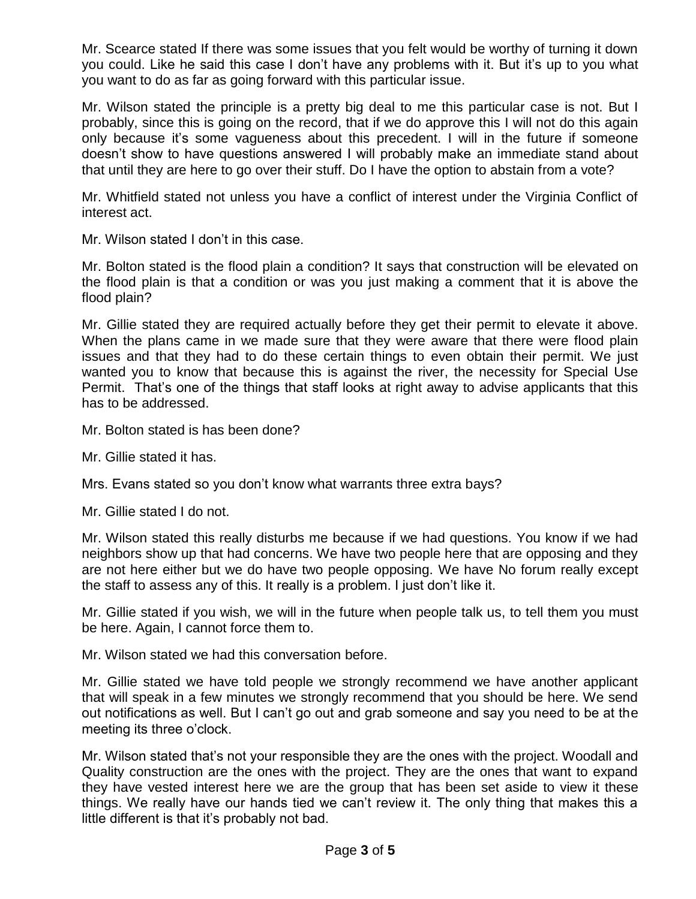Mr. Scearce stated If there was some issues that you felt would be worthy of turning it down you could. Like he said this case I don't have any problems with it. But it's up to you what you want to do as far as going forward with this particular issue.

Mr. Wilson stated the principle is a pretty big deal to me this particular case is not. But I probably, since this is going on the record, that if we do approve this I will not do this again only because it's some vagueness about this precedent. I will in the future if someone doesn't show to have questions answered I will probably make an immediate stand about that until they are here to go over their stuff. Do I have the option to abstain from a vote?

Mr. Whitfield stated not unless you have a conflict of interest under the Virginia Conflict of interest act.

Mr. Wilson stated I don't in this case.

Mr. Bolton stated is the flood plain a condition? It says that construction will be elevated on the flood plain is that a condition or was you just making a comment that it is above the flood plain?

Mr. Gillie stated they are required actually before they get their permit to elevate it above. When the plans came in we made sure that they were aware that there were flood plain issues and that they had to do these certain things to even obtain their permit. We just wanted you to know that because this is against the river, the necessity for Special Use Permit. That's one of the things that staff looks at right away to advise applicants that this has to be addressed.

- Mr. Bolton stated is has been done?
- Mr. Gillie stated it has.

Mrs. Evans stated so you don't know what warrants three extra bays?

Mr. Gillie stated I do not.

Mr. Wilson stated this really disturbs me because if we had questions. You know if we had neighbors show up that had concerns. We have two people here that are opposing and they are not here either but we do have two people opposing. We have No forum really except the staff to assess any of this. It really is a problem. I just don't like it.

Mr. Gillie stated if you wish, we will in the future when people talk us, to tell them you must be here. Again, I cannot force them to.

Mr. Wilson stated we had this conversation before.

Mr. Gillie stated we have told people we strongly recommend we have another applicant that will speak in a few minutes we strongly recommend that you should be here. We send out notifications as well. But I can't go out and grab someone and say you need to be at the meeting its three o'clock.

Mr. Wilson stated that's not your responsible they are the ones with the project. Woodall and Quality construction are the ones with the project. They are the ones that want to expand they have vested interest here we are the group that has been set aside to view it these things. We really have our hands tied we can't review it. The only thing that makes this a little different is that it's probably not bad.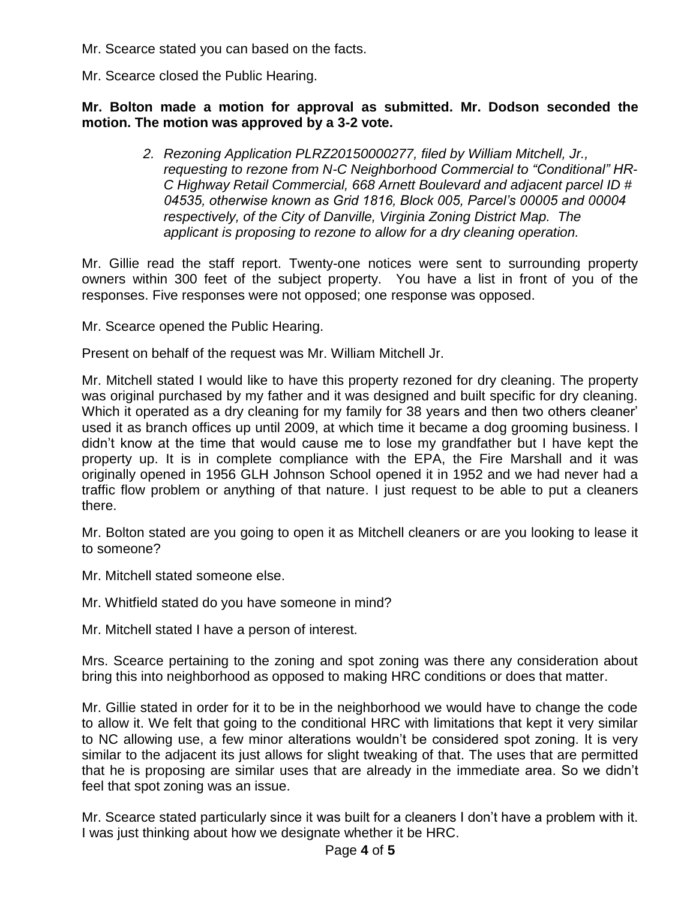Mr. Scearce stated you can based on the facts.

Mr. Scearce closed the Public Hearing.

# **Mr. Bolton made a motion for approval as submitted. Mr. Dodson seconded the motion. The motion was approved by a 3-2 vote.**

*2. Rezoning Application PLRZ20150000277, filed by William Mitchell, Jr., requesting to rezone from N-C Neighborhood Commercial to "Conditional" HR-C Highway Retail Commercial, 668 Arnett Boulevard and adjacent parcel ID # 04535, otherwise known as Grid 1816, Block 005, Parcel's 00005 and 00004 respectively, of the City of Danville, Virginia Zoning District Map. The applicant is proposing to rezone to allow for a dry cleaning operation.*

Mr. Gillie read the staff report. Twenty-one notices were sent to surrounding property owners within 300 feet of the subject property. You have a list in front of you of the responses. Five responses were not opposed; one response was opposed.

Mr. Scearce opened the Public Hearing.

Present on behalf of the request was Mr. William Mitchell Jr.

Mr. Mitchell stated I would like to have this property rezoned for dry cleaning. The property was original purchased by my father and it was designed and built specific for dry cleaning. Which it operated as a dry cleaning for my family for 38 years and then two others cleaner' used it as branch offices up until 2009, at which time it became a dog grooming business. I didn't know at the time that would cause me to lose my grandfather but I have kept the property up. It is in complete compliance with the EPA, the Fire Marshall and it was originally opened in 1956 GLH Johnson School opened it in 1952 and we had never had a traffic flow problem or anything of that nature. I just request to be able to put a cleaners there.

Mr. Bolton stated are you going to open it as Mitchell cleaners or are you looking to lease it to someone?

Mr. Mitchell stated someone else.

Mr. Whitfield stated do you have someone in mind?

Mr. Mitchell stated I have a person of interest.

Mrs. Scearce pertaining to the zoning and spot zoning was there any consideration about bring this into neighborhood as opposed to making HRC conditions or does that matter.

Mr. Gillie stated in order for it to be in the neighborhood we would have to change the code to allow it. We felt that going to the conditional HRC with limitations that kept it very similar to NC allowing use, a few minor alterations wouldn't be considered spot zoning. It is very similar to the adjacent its just allows for slight tweaking of that. The uses that are permitted that he is proposing are similar uses that are already in the immediate area. So we didn't feel that spot zoning was an issue.

Mr. Scearce stated particularly since it was built for a cleaners I don't have a problem with it. I was just thinking about how we designate whether it be HRC.